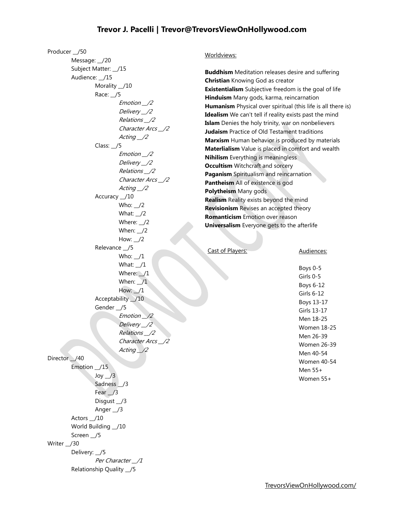## **Trevor J. Pacelli | Trevor@TrevorsViewOnHollywood.com**

Producer \_\_/50

Message: /20 Subject Matter: \_\_/15 Audience: \_\_/15 Morality \_\_/10 Race: \_\_/5 Emotion \_\_/2 Delivery \_\_/2 Relations \_\_/2 Character Arcs \_\_/2 Acting  $\angle$ 2 Class: \_\_/5 Emotion \_\_/2 Delivery \_\_/2 Relations \_\_/2 Character Arcs \_\_/2 Acting \_\_/2 Accuracy \_\_/10 Who: /2 What:  $\angle$ /2 Where: \_\_/2 When: \_\_/2 How:  $\angle$ /2 Relevance \_\_/5 Who:  $1$ What: \_\_/1 Where: /1 When:  $\sqrt{1}$  $How: 1$ Acceptability  $\_$ /10 Gender \_\_/5 Emotion \_\_/2 Delivery \_\_/2 Relations \_\_/2 Character Arcs Acting 12 Director \_/40 Emotion \_\_/15  $Joy$   $1/3$ Sadness /3 Fear /3 Disgust \_\_/3 Anger \_\_/3 Actors \_\_/10 World Building \_\_ /10 Screen /5 Writer /30 Delivery: \_\_/5 Per Character \_\_/1 Relationship Quality \_\_/5

### Worldviews:

**Buddhism** Meditation releases desire and suffering **Christian** Knowing God as creator **Existentialism** Subjective freedom is the goal of life **Hinduism** Many gods, karma, reincarnation **Humanism** Physical over spiritual (this life is all there is) **Idealism** We can't tell if reality exists past the mind **Islam** Denies the holy trinity, war on nonbelievers **Judaism** Practice of Old Testament traditions **Marxism** Human behavior is produced by materials **Materlialism** Value is placed in comfort and wealth **Nihilism** Everything is meaningless **Occultism** Witchcraft and sorcery **Paganism** Spiritualism and reincarnation **Pantheism** All of existence is god **Polytheism** Many gods **Realism** Reality exists beyond the mind **Revisionism** Revises an accepted theory **Romanticism** Emotion over reason **Universalism** Everyone gets to the afterlife

## Cast of Players:

#### Audiences:

Boys 0-5 Girls 0-5 Boys 6-12 Girls 6-12 Boys 13-17 Girls 13-17 Men 18-25 Women 18-25 Men 26-39 Women 26-39 Men 40-54 Women 40-54 Men 55+ Women 55+